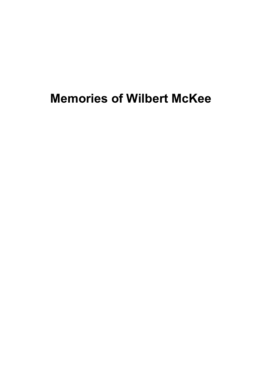## **Memories of Wilbert McKee**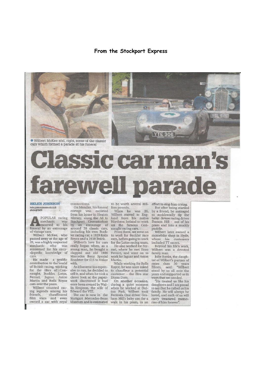## From the Stockport Express





## **HELEN JOHNSON** helen.johnson@menmedia.co.uk<br>@helenj83MEN

POPULAR racing mechanic was<br>rescorted to his funeral by an entourage of vintage cars.

Wilbert McKee, who passed away at the age of 89, was a highly respected mechanic who was renowned for his ency-<br>clopedic knowledge of cars

He made a prolific<br>contribution to the world of British racing, working<br>for the likes of Connaught, Buckler, Lotus, Ferrari, Jaguar, Aston Martin and Rolls Royce cars over the years.

Wilbert counted racing legends among his friends, chauffeured<br>film stars and even connections.

On Monday, his funeral cortege was escorted from his home in Heaton Mersey, along the A6 to Stockport Crematorium<br>by an entourage of<br>around 20 classic cars,<br>including his own Buckler racing car, a 1929 Rolls Royce and a 1938 Buick.

Wilbert's love for cars really began when, as a young man, he bought a clapped out old 1936 Mercedes Benz Spezial Roadster for £15 to tinker with.

As it became too expensive to run, he decided to sell it, and when he took a closer look at the paperwork discovered it had once been owned by Wallis Simpson, the wife of Edward the VIII.

The car is now in the

to be worth several mil- effort to stop him crying. lion pounds.

was 20, When he Wilbert moved to England from his native Northern Ireland to work on the famous Con-<br>naught racing cars.<br>From there, we went on

to work for Buckler race cars, before going to work for the Lotus racing team.

He also worked for Ferrari, where he met Enzo Ferrari, and went on to work for Jaguar and Aston Martin.

While working for Rolls Royce, he was once asked to chauffeur a potential customer - the film star Diana Dors.

On another occasion, during a quiet moment when he worked at Oul-<br>ton Park, Wilbert took<br>Formula One driver Gra-

But after being startled by a friend, he managed to accidentally tip the baby - future racing driver Damon Hill - out of his pram and into a muddy<br>puddle.

**YTE 306** 

SECT

Wilbert later owned a motorbike shop in Hyde, where his customers included TT racers.

Beyond his life's work, Wilbert was a devoted family man.

Julie Banks, the daughter of Wilbert's partner of en or when so years<br>
once than 30 years<br>
Elleen, said: "Wilbert<br>
stood by us all over the<br>
years and supported us in ways that we needed.

He treated us like his daughters and I am proud to say that he called us his family. He will always be friends, chauffeured The car is now in the Formula One driver Gra- loved, and each of us will<br>film stars and even Stuttgart Mercedes-Benz ham Hill's baby son for a carry treasured memo-<br>owned a car with royal Museum and is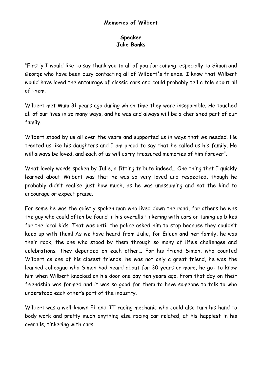## **Speaker Julie Banks**

"Firstly I would like to say thank you to all of you for coming, especially to Simon and George who have been busy contacting all of Wilbert's friends. I know that Wilbert would have loved the entourage of classic cars and could probably tell a tale about all of them.

Wilbert met Mum 31 years ago during which time they were inseparable. He touched all of our lives in so many ways, and he was and always will be a cherished part of our family.

Wilbert stood by us all over the years and supported us in ways that we needed. He treated us like his daughters and I am proud to say that he called us his family. He will always be loved, and each of us will carry treasured memories of him forever".

What lovely words spoken by Julie, a fitting tribute indeed… One thing that I quickly learned about Wilbert was that he was so very loved and respected, though he probably didn't realise just how much, as he was unassuming and not the kind to encourage or expect praise.

For some he was the quietly spoken man who lived down the road, for others he was the guy who could often be found in his overalls tinkering with cars or tuning up bikes for the local kids. That was until the police asked him to stop because they couldn't keep up with them! As we have heard from Julie, for Eileen and her family, he was their rock, the one who stood by them through so many of life's challenges and celebrations. They depended on each other… For his friend Simon, who counted Wilbert as one of his closest friends, he was not only a great friend, he was the learned colleague who Simon had heard about for 30 years or more, he got to know him when Wilbert knocked on his door one day ten years ago. From that day on their friendship was formed and it was so good for them to have someone to talk to who understood each other's part of the industry.

Wilbert was a well-known F1 and TT racing mechanic who could also turn his hand to body work and pretty much anything else racing car related, at his happiest in his overalls, tinkering with cars.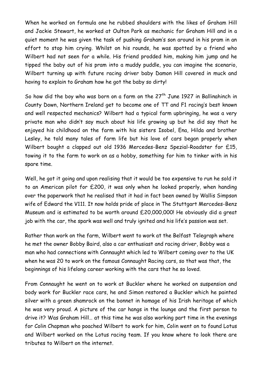When he worked on formula one he rubbed shoulders with the likes of Graham Hill and Jackie Stewart, he worked at Oulton Park as mechanic for Graham Hill and in a quiet moment he was given the task of pushing Graham's son around in his pram in an effort to stop him crying. Whilst on his rounds, he was spotted by a friend who Wilbert had not seen for a while. His friend prodded him, making him jump and he tipped the baby out of his pram into a muddy puddle, you can imagine the scenario, Wilbert turning up with future racing driver baby Damon Hill covered in muck and having to explain to Graham how he got the baby so dirty!

So how did the boy who was born on a farm on the  $27<sup>th</sup>$  June 1927 in Ballinahinch in County Down, Northern Ireland get to become one of TT and F1 racing's best known and well respected mechanics? Wilbert had a typical farm upbringing, he was a very private man who didn't say much about his life growing up but he did say that he enjoyed his childhood on the farm with his sisters Isobel, Ena, Hilda and brother Lesley, he told many tales of farm life but his love of cars began properly when Wilbert bought a clapped out old 1936 Mercedes-Benz Spezial-Roadster for £15, towing it to the farm to work on as a hobby, something for him to tinker with in his spare time.

Well, he got it going and upon realising that it would be too expensive to run he sold it to an American pilot for £200, it was only when he looked properly, when handing over the paperwork that he realised that it had in fact been owned by Wallis Simpson wife of Edward the V111. It now holds pride of place in The Stuttgart [Mercedes-Benz](https://www.google.co.uk/url?sa=t&rct=j&q=&esrc=s&source=web&cd=1&cad=rja&uact=8&ved=0ahUKEwi02sje0rLPAhVlJsAKHZzEAakQFggcMAA&url=https%3A%2F%2Fwww.mercedes-benz.com%2Fen%2Fmercedes-benz%2Fclassic%2Fmuseum%2F&usg=AFQjCNGxQYUBMmjRevy0Je-VEQa2hS8cww&bvm=bv.134052249,d.ZGg)  [Museum](https://www.google.co.uk/url?sa=t&rct=j&q=&esrc=s&source=web&cd=1&cad=rja&uact=8&ved=0ahUKEwi02sje0rLPAhVlJsAKHZzEAakQFggcMAA&url=https%3A%2F%2Fwww.mercedes-benz.com%2Fen%2Fmercedes-benz%2Fclassic%2Fmuseum%2F&usg=AFQjCNGxQYUBMmjRevy0Je-VEQa2hS8cww&bvm=bv.134052249,d.ZGg) and is estimated to be worth around £20,000,000! He obviously did a great job with the car, the spark was well and truly ignited and his life's passion was set.

Rather than work on the farm, Wilbert went to work at the Belfast Telegraph where he met the owner Bobby Baird, also a car enthusiast and racing driver, Bobby was a man who had connections with Connaught which led to Wilbert coming over to the UK when he was 20 to work on the famous Connaught Racing cars, so that was that, the beginnings of his lifelong career working with the cars that he so loved.

From Connaught he went on to work at Buckler where he worked on suspension and body work for Buckler race cars, he and Simon restored a Buckler which he painted silver with a green shamrock on the bonnet in homage of his Irish heritage of which he was very proud. A picture of the car hangs in the lounge and the first person to drive it? Was Graham Hill… at this time he was also working part time in the evenings for Colin Chapman who poached Wilbert to work for him, Colin went on to found Lotus and Wilbert worked on the Lotus racing team. If you know where to look there are tributes to Wilbert on the internet.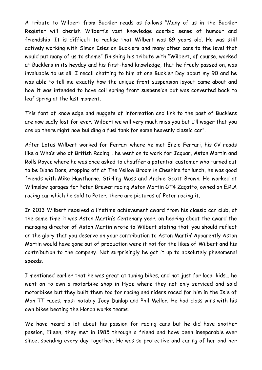A tribute to Wilbert from Buckler reads as follows "Many of us in the Buckler Register will cherish Wilbert's vast knowledge acerbic sense of humour and friendship. It is difficult to realise that Wilbert was 89 years old. He was still actively working with Simon Isles on Bucklers and many other cars to the level that would put many of us to shame" finishing his tribute with "Wilbert, of course, worked at Bucklers in its heyday and his first-hand knowledge, that he freely passed on, was invaluable to us all. I recall chatting to him at one Buckler Day about my 90 and he was able to tell me exactly how the unique front suspension layout came about and how it was intended to have coil spring front suspension but was converted back to leaf spring at the last moment.

This font of knowledge and nuggets of information and link to the past of Bucklers are now sadly lost for ever. Wilbert we will very much miss you but I'll wager that you are up there right now building a fuel tank for some heavenly classic car".

After Lotus Wilbert worked for Ferrari where he met Enzio Ferrari, his CV reads like a Who's who of British Racing… he went on to work for Jaguar, Aston Martin and Rolls Royce where he was once asked to chauffer a potential customer who turned out to be Diana Dors, stopping off at The Yellow Broom in Cheshire for lunch, he was good friends with Mike Hawthorne, Stirling Moss and Archie Scott Brown. He worked at Wilmslow garages for Peter Brewer racing Aston Martin GT4 Zagatto, owned an E.R.A racing car which he sold to Peter, there are pictures of Peter racing it.

In 2013 Wilbert received a lifetime achievement award from his classic car club, at the same time it was Aston Martin's Centenary year, on hearing about the award the managing director of Aston Martin wrote to Wilbert stating that 'you should reflect on the glory that you deserve on your contribution to Aston Martin' Apparently Aston Martin would have gone out of production were it not for the likes of Wilbert and his contribution to the company. Not surprisingly he got it up to absolutely phenomenal speeds.

I mentioned earlier that he was great at tuning bikes, and not just for local kids… he went on to own a motorbike shop in Hyde where they not only serviced and sold motorbikes but they built them too for racing and riders raced for him in the Isle of Man TT races, most notably Joey Dunlop and Phil Mellor. He had class wins with his own bikes beating the Honda works teams.

We have heard a lot about his passion for racing cars but he did have another passion, Eileen, they met in 1985 through a friend and have been inseparable ever since, spending every day together. He was so protective and caring of her and her